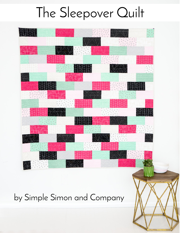# The Sleepover Quilt



by Simple Simon and Company